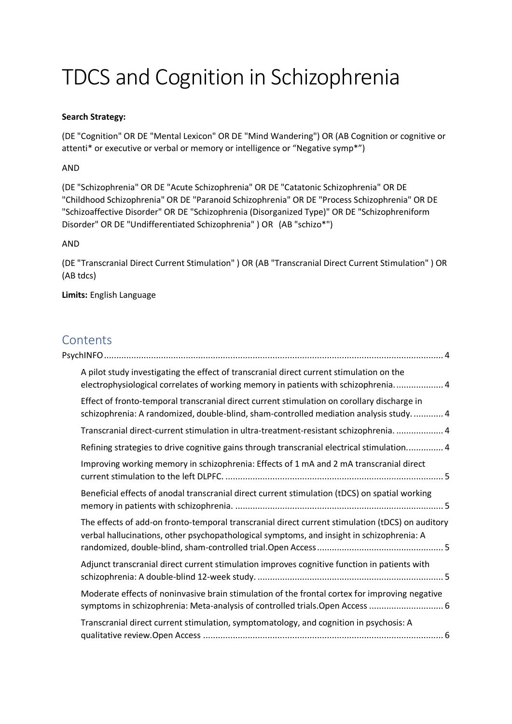# TDCS and Cognition in Schizophrenia

## **Search Strategy:**

(DE "Cognition" OR DE "Mental Lexicon" OR DE "Mind Wandering") OR (AB Cognition or cognitive or attenti\* or executive or verbal or memory or intelligence or "Negative symp\*")

## AND

(DE "Schizophrenia" OR DE "Acute Schizophrenia" OR DE "Catatonic Schizophrenia" OR DE "Childhood Schizophrenia" OR DE "Paranoid Schizophrenia" OR DE "Process Schizophrenia" OR DE "Schizoaffective Disorder" OR DE "Schizophrenia (Disorganized Type)" OR DE "Schizophreniform Disorder" OR DE "Undifferentiated Schizophrenia" ) OR (AB "schizo\*")

## AND

(DE "Transcranial Direct Current Stimulation" ) OR (AB "Transcranial Direct Current Stimulation" ) OR (AB tdcs)

**Limits:** English Language

# Contents

| A pilot study investigating the effect of transcranial direct current stimulation on the<br>electrophysiological correlates of working memory in patients with schizophrenia 4                |  |
|-----------------------------------------------------------------------------------------------------------------------------------------------------------------------------------------------|--|
| Effect of fronto-temporal transcranial direct current stimulation on corollary discharge in<br>schizophrenia: A randomized, double-blind, sham-controlled mediation analysis study.  4        |  |
| Transcranial direct-current stimulation in ultra-treatment-resistant schizophrenia.  4                                                                                                        |  |
| Refining strategies to drive cognitive gains through transcranial electrical stimulation 4                                                                                                    |  |
| Improving working memory in schizophrenia: Effects of 1 mA and 2 mA transcranial direct                                                                                                       |  |
| Beneficial effects of anodal transcranial direct current stimulation (tDCS) on spatial working                                                                                                |  |
| The effects of add-on fronto-temporal transcranial direct current stimulation (tDCS) on auditory<br>verbal hallucinations, other psychopathological symptoms, and insight in schizophrenia: A |  |
| Adjunct transcranial direct current stimulation improves cognitive function in patients with                                                                                                  |  |
| Moderate effects of noninvasive brain stimulation of the frontal cortex for improving negative<br>symptoms in schizophrenia: Meta-analysis of controlled trials. Open Access  6               |  |
| Transcranial direct current stimulation, symptomatology, and cognition in psychosis: A                                                                                                        |  |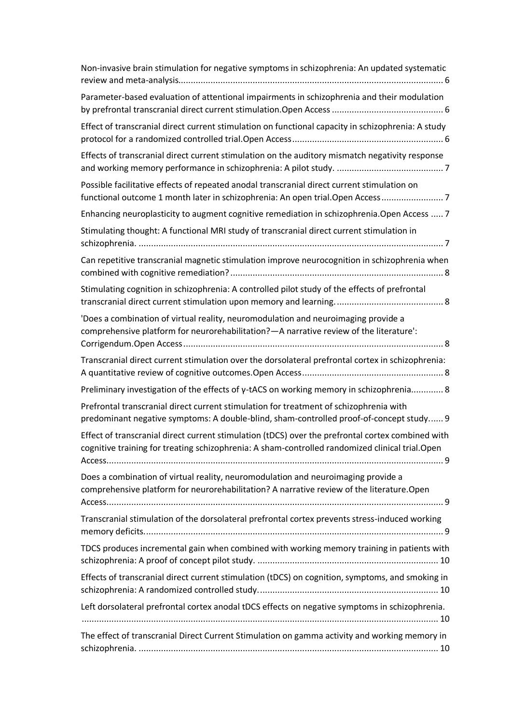| Non-invasive brain stimulation for negative symptoms in schizophrenia: An updated systematic                                                                                                         |
|------------------------------------------------------------------------------------------------------------------------------------------------------------------------------------------------------|
| Parameter-based evaluation of attentional impairments in schizophrenia and their modulation                                                                                                          |
| Effect of transcranial direct current stimulation on functional capacity in schizophrenia: A study                                                                                                   |
| Effects of transcranial direct current stimulation on the auditory mismatch negativity response                                                                                                      |
| Possible facilitative effects of repeated anodal transcranial direct current stimulation on<br>functional outcome 1 month later in schizophrenia: An open trial. Open Access7                        |
| Enhancing neuroplasticity to augment cognitive remediation in schizophrenia. Open Access  7                                                                                                          |
| Stimulating thought: A functional MRI study of transcranial direct current stimulation in                                                                                                            |
| Can repetitive transcranial magnetic stimulation improve neurocognition in schizophrenia when                                                                                                        |
| Stimulating cognition in schizophrenia: A controlled pilot study of the effects of prefrontal                                                                                                        |
| 'Does a combination of virtual reality, neuromodulation and neuroimaging provide a<br>comprehensive platform for neurorehabilitation? - A narrative review of the literature':                       |
| Transcranial direct current stimulation over the dorsolateral prefrontal cortex in schizophrenia:                                                                                                    |
| Preliminary investigation of the effects of y-tACS on working memory in schizophrenia 8                                                                                                              |
| Prefrontal transcranial direct current stimulation for treatment of schizophrenia with<br>predominant negative symptoms: A double-blind, sham-controlled proof-of-concept study 9                    |
| Effect of transcranial direct current stimulation (tDCS) over the prefrontal cortex combined with<br>cognitive training for treating schizophrenia: A sham-controlled randomized clinical trial.Open |
| Does a combination of virtual reality, neuromodulation and neuroimaging provide a<br>comprehensive platform for neurorehabilitation? A narrative review of the literature. Open                      |
| Transcranial stimulation of the dorsolateral prefrontal cortex prevents stress-induced working                                                                                                       |
| TDCS produces incremental gain when combined with working memory training in patients with                                                                                                           |
| Effects of transcranial direct current stimulation (tDCS) on cognition, symptoms, and smoking in                                                                                                     |
| Left dorsolateral prefrontal cortex anodal tDCS effects on negative symptoms in schizophrenia.                                                                                                       |
| The effect of transcranial Direct Current Stimulation on gamma activity and working memory in                                                                                                        |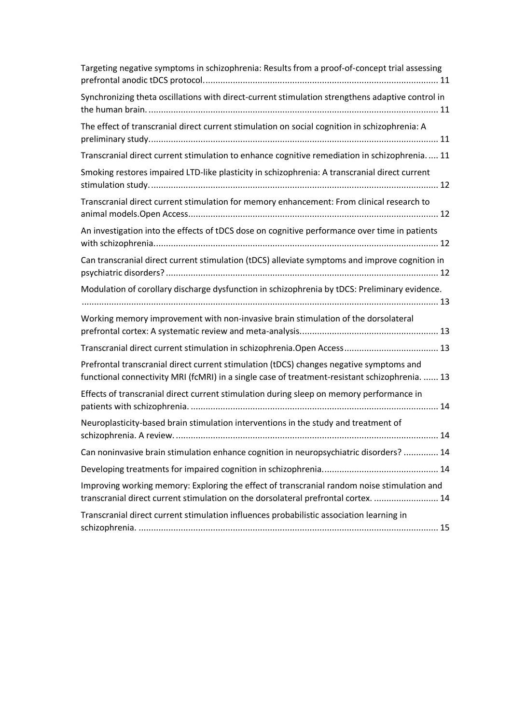| Targeting negative symptoms in schizophrenia: Results from a proof-of-concept trial assessing                                                                                             |
|-------------------------------------------------------------------------------------------------------------------------------------------------------------------------------------------|
| Synchronizing theta oscillations with direct-current stimulation strengthens adaptive control in                                                                                          |
| The effect of transcranial direct current stimulation on social cognition in schizophrenia: A                                                                                             |
| Transcranial direct current stimulation to enhance cognitive remediation in schizophrenia 11                                                                                              |
| Smoking restores impaired LTD-like plasticity in schizophrenia: A transcranial direct current                                                                                             |
| Transcranial direct current stimulation for memory enhancement: From clinical research to                                                                                                 |
| An investigation into the effects of tDCS dose on cognitive performance over time in patients                                                                                             |
| Can transcranial direct current stimulation (tDCS) alleviate symptoms and improve cognition in                                                                                            |
| Modulation of corollary discharge dysfunction in schizophrenia by tDCS: Preliminary evidence.                                                                                             |
| Working memory improvement with non-invasive brain stimulation of the dorsolateral                                                                                                        |
|                                                                                                                                                                                           |
| Prefrontal transcranial direct current stimulation (tDCS) changes negative symptoms and<br>functional connectivity MRI (fcMRI) in a single case of treatment-resistant schizophrenia.  13 |
| Effects of transcranial direct current stimulation during sleep on memory performance in                                                                                                  |
| Neuroplasticity-based brain stimulation interventions in the study and treatment of                                                                                                       |
| Can noninvasive brain stimulation enhance cognition in neuropsychiatric disorders?  14                                                                                                    |
|                                                                                                                                                                                           |
| Improving working memory: Exploring the effect of transcranial random noise stimulation and<br>transcranial direct current stimulation on the dorsolateral prefrontal cortex.  14         |
| Transcranial direct current stimulation influences probabilistic association learning in                                                                                                  |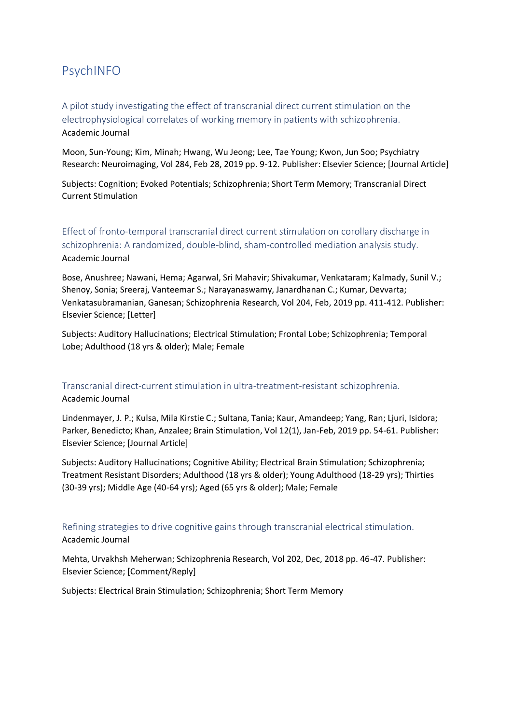# <span id="page-3-0"></span>PsychINFO

<span id="page-3-1"></span>A pilot study investigating the effect of transcranial direct current stimulation on the electrophysiological correlates of working memory in patients with schizophrenia. Academic Journal

Moon, Sun-Young; Kim, Minah; Hwang, Wu Jeong; Lee, Tae Young; Kwon, Jun Soo; Psychiatry Research: Neuroimaging, Vol 284, Feb 28, 2019 pp. 9-12. Publisher: Elsevier Science; [Journal Article]

Subjects: Cognition; Evoked Potentials; Schizophrenia; Short Term Memory; Transcranial Direct Current Stimulation

<span id="page-3-2"></span>Effect of fronto-temporal transcranial direct current stimulation on corollary discharge in schizophrenia: A randomized, double-blind, sham-controlled mediation analysis study. Academic Journal

Bose, Anushree; Nawani, Hema; Agarwal, Sri Mahavir; Shivakumar, Venkataram; Kalmady, Sunil V.; Shenoy, Sonia; Sreeraj, Vanteemar S.; Narayanaswamy, Janardhanan C.; Kumar, Devvarta; Venkatasubramanian, Ganesan; Schizophrenia Research, Vol 204, Feb, 2019 pp. 411-412. Publisher: Elsevier Science; [Letter]

Subjects: Auditory Hallucinations; Electrical Stimulation; Frontal Lobe; Schizophrenia; Temporal Lobe; Adulthood (18 yrs & older); Male; Female

<span id="page-3-3"></span>Transcranial direct-current stimulation in ultra-treatment-resistant schizophrenia. Academic Journal

Lindenmayer, J. P.; Kulsa, Mila Kirstie C.; Sultana, Tania; Kaur, Amandeep; Yang, Ran; Ljuri, Isidora; Parker, Benedicto; Khan, Anzalee; Brain Stimulation, Vol 12(1), Jan-Feb, 2019 pp. 54-61. Publisher: Elsevier Science; [Journal Article]

Subjects: Auditory Hallucinations; Cognitive Ability; Electrical Brain Stimulation; Schizophrenia; Treatment Resistant Disorders; Adulthood (18 yrs & older); Young Adulthood (18-29 yrs); Thirties (30-39 yrs); Middle Age (40-64 yrs); Aged (65 yrs & older); Male; Female

<span id="page-3-4"></span>Refining strategies to drive cognitive gains through transcranial electrical stimulation. Academic Journal

Mehta, Urvakhsh Meherwan; Schizophrenia Research, Vol 202, Dec, 2018 pp. 46-47. Publisher: Elsevier Science; [Comment/Reply]

Subjects: Electrical Brain Stimulation; Schizophrenia; Short Term Memory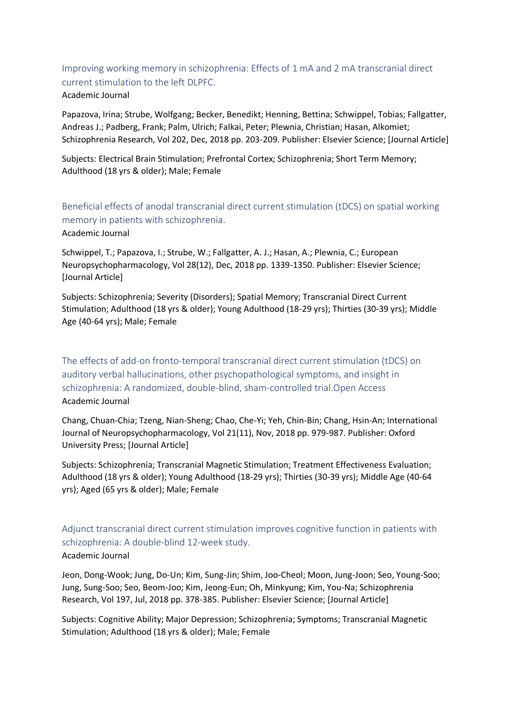## <span id="page-4-0"></span>Improving working memory in schizophrenia: Effects of 1 mA and 2 mA transcranial direct current stimulation to the left DLPFC. Academic Journal

Papazova, Irina; Strube, Wolfgang; Becker, Benedikt; Henning, Bettina; Schwippel, Tobias; Fallgatter, Andreas J.; Padberg, Frank; Palm, Ulrich; Falkai, Peter; Plewnia, Christian; Hasan, Alkomiet; Schizophrenia Research, Vol 202, Dec, 2018 pp. 203-209. Publisher: Elsevier Science; [Journal Article]

Subjects: Electrical Brain Stimulation; Prefrontal Cortex; Schizophrenia; Short Term Memory; Adulthood (18 yrs & older); Male; Female

<span id="page-4-1"></span>Beneficial effects of anodal transcranial direct current stimulation (tDCS) on spatial working memory in patients with schizophrenia.

Academic Journal

Schwippel, T.; Papazova, I.; Strube, W.; Fallgatter, A. J.; Hasan, A.; Plewnia, C.; European Neuropsychopharmacology, Vol 28(12), Dec, 2018 pp. 1339-1350. Publisher: Elsevier Science; [Journal Article]

Subjects: Schizophrenia; Severity (Disorders); Spatial Memory; Transcranial Direct Current Stimulation; Adulthood (18 yrs & older); Young Adulthood (18-29 yrs); Thirties (30-39 yrs); Middle Age (40-64 yrs); Male; Female

<span id="page-4-2"></span>The effects of add-on fronto-temporal transcranial direct current stimulation (tDCS) on auditory verbal hallucinations, other psychopathological symptoms, and insight in schizophrenia: A randomized, double-blind, sham-controlled trial.Open Access Academic Journal

Chang, Chuan-Chia; Tzeng, Nian-Sheng; Chao, Che-Yi; Yeh, Chin-Bin; Chang, Hsin-An; International Journal of Neuropsychopharmacology, Vol 21(11), Nov, 2018 pp. 979-987. Publisher: Oxford University Press; [Journal Article]

Subjects: Schizophrenia; Transcranial Magnetic Stimulation; Treatment Effectiveness Evaluation; Adulthood (18 yrs & older); Young Adulthood (18-29 yrs); Thirties (30-39 yrs); Middle Age (40-64 yrs); Aged (65 yrs & older); Male; Female

<span id="page-4-3"></span>Adjunct transcranial direct current stimulation improves cognitive function in patients with schizophrenia: A double-blind 12-week study.

#### Academic Journal

Jeon, Dong-Wook; Jung, Do-Un; Kim, Sung-Jin; Shim, Joo-Cheol; Moon, Jung-Joon; Seo, Young-Soo; Jung, Sung-Soo; Seo, Beom-Joo; Kim, Jeong-Eun; Oh, Minkyung; Kim, You-Na; Schizophrenia Research, Vol 197, Jul, 2018 pp. 378-385. Publisher: Elsevier Science; [Journal Article]

Subjects: Cognitive Ability; Major Depression; Schizophrenia; Symptoms; Transcranial Magnetic Stimulation; Adulthood (18 yrs & older); Male; Female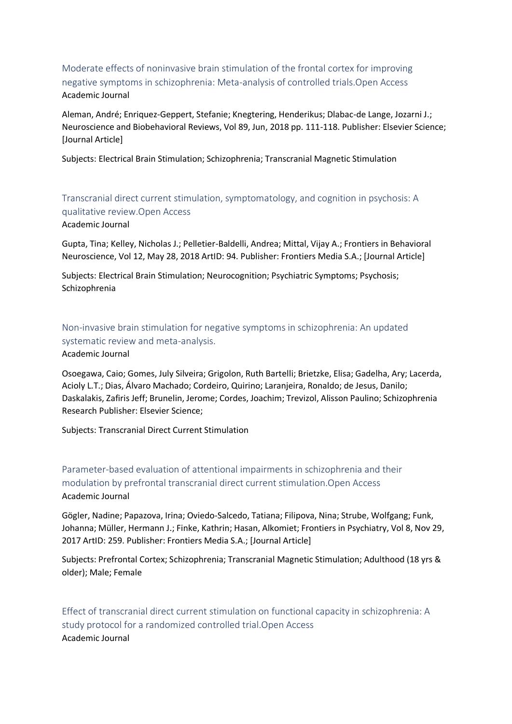<span id="page-5-0"></span>Moderate effects of noninvasive brain stimulation of the frontal cortex for improving negative symptoms in schizophrenia: Meta-analysis of controlled trials.Open Access Academic Journal

Aleman, André; Enriquez-Geppert, Stefanie; Knegtering, Henderikus; Dlabac-de Lange, Jozarni J.; Neuroscience and Biobehavioral Reviews, Vol 89, Jun, 2018 pp. 111-118. Publisher: Elsevier Science; [Journal Article]

Subjects: Electrical Brain Stimulation; Schizophrenia; Transcranial Magnetic Stimulation

<span id="page-5-1"></span>Transcranial direct current stimulation, symptomatology, and cognition in psychosis: A qualitative review.Open Access

#### Academic Journal

Gupta, Tina; Kelley, Nicholas J.; Pelletier-Baldelli, Andrea; Mittal, Vijay A.; Frontiers in Behavioral Neuroscience, Vol 12, May 28, 2018 ArtID: 94. Publisher: Frontiers Media S.A.; [Journal Article]

Subjects: Electrical Brain Stimulation; Neurocognition; Psychiatric Symptoms; Psychosis; Schizophrenia

<span id="page-5-2"></span>Non-invasive brain stimulation for negative symptoms in schizophrenia: An updated systematic review and meta-analysis.

#### Academic Journal

Osoegawa, Caio; Gomes, July Silveira; Grigolon, Ruth Bartelli; Brietzke, Elisa; Gadelha, Ary; Lacerda, Acioly L.T.; Dias, Álvaro Machado; Cordeiro, Quirino; Laranjeira, Ronaldo; de Jesus, Danilo; Daskalakis, Zafiris Jeff; Brunelin, Jerome; Cordes, Joachim; Trevizol, Alisson Paulino; Schizophrenia Research Publisher: Elsevier Science;

Subjects: Transcranial Direct Current Stimulation

<span id="page-5-3"></span>Parameter-based evaluation of attentional impairments in schizophrenia and their modulation by prefrontal transcranial direct current stimulation.Open Access Academic Journal

Gögler, Nadine; Papazova, Irina; Oviedo-Salcedo, Tatiana; Filipova, Nina; Strube, Wolfgang; Funk, Johanna; Müller, Hermann J.; Finke, Kathrin; Hasan, Alkomiet; Frontiers in Psychiatry, Vol 8, Nov 29, 2017 ArtID: 259. Publisher: Frontiers Media S.A.; [Journal Article]

Subjects: Prefrontal Cortex; Schizophrenia; Transcranial Magnetic Stimulation; Adulthood (18 yrs & older); Male; Female

<span id="page-5-4"></span>Effect of transcranial direct current stimulation on functional capacity in schizophrenia: A study protocol for a randomized controlled trial.Open Access Academic Journal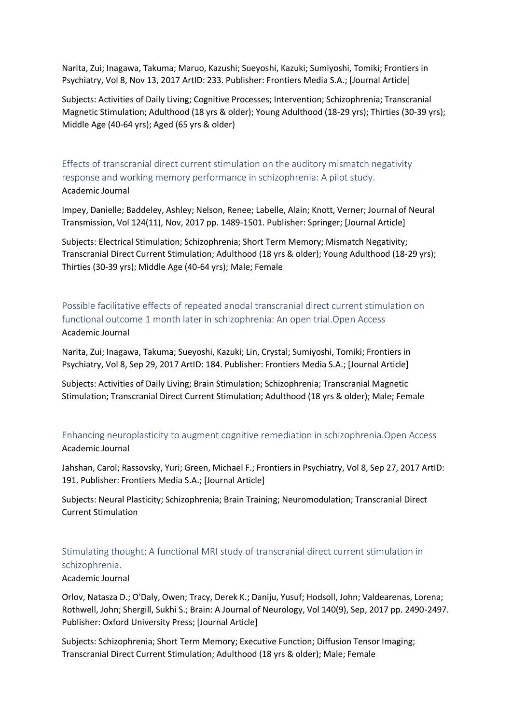Narita, Zui; Inagawa, Takuma; Maruo, Kazushi; Sueyoshi, Kazuki; Sumiyoshi, Tomiki; Frontiers in Psychiatry, Vol 8, Nov 13, 2017 ArtID: 233. Publisher: Frontiers Media S.A.; [Journal Article]

Subjects: Activities of Daily Living; Cognitive Processes; Intervention; Schizophrenia; Transcranial Magnetic Stimulation; Adulthood (18 yrs & older); Young Adulthood (18-29 yrs); Thirties (30-39 yrs); Middle Age (40-64 yrs); Aged (65 yrs & older)

<span id="page-6-0"></span>Effects of transcranial direct current stimulation on the auditory mismatch negativity response and working memory performance in schizophrenia: A pilot study. Academic Journal

Impey, Danielle; Baddeley, Ashley; Nelson, Renee; Labelle, Alain; Knott, Verner; Journal of Neural Transmission, Vol 124(11), Nov, 2017 pp. 1489-1501. Publisher: Springer; [Journal Article]

Subjects: Electrical Stimulation; Schizophrenia; Short Term Memory; Mismatch Negativity; Transcranial Direct Current Stimulation; Adulthood (18 yrs & older); Young Adulthood (18-29 yrs); Thirties (30-39 yrs); Middle Age (40-64 yrs); Male; Female

<span id="page-6-1"></span>Possible facilitative effects of repeated anodal transcranial direct current stimulation on functional outcome 1 month later in schizophrenia: An open trial.Open Access Academic Journal

Narita, Zui; Inagawa, Takuma; Sueyoshi, Kazuki; Lin, Crystal; Sumiyoshi, Tomiki; Frontiers in Psychiatry, Vol 8, Sep 29, 2017 ArtID: 184. Publisher: Frontiers Media S.A.; [Journal Article]

Subjects: Activities of Daily Living; Brain Stimulation; Schizophrenia; Transcranial Magnetic Stimulation; Transcranial Direct Current Stimulation; Adulthood (18 yrs & older); Male; Female

<span id="page-6-2"></span>Enhancing neuroplasticity to augment cognitive remediation in schizophrenia.Open Access Academic Journal

Jahshan, Carol; Rassovsky, Yuri; Green, Michael F.; Frontiers in Psychiatry, Vol 8, Sep 27, 2017 ArtID: 191. Publisher: Frontiers Media S.A.; [Journal Article]

Subjects: Neural Plasticity; Schizophrenia; Brain Training; Neuromodulation; Transcranial Direct Current Stimulation

<span id="page-6-3"></span>Stimulating thought: A functional MRI study of transcranial direct current stimulation in schizophrenia.

#### Academic Journal

Orlov, Natasza D.; O'Daly, Owen; Tracy, Derek K.; Daniju, Yusuf; Hodsoll, John; Valdearenas, Lorena; Rothwell, John; Shergill, Sukhi S.; Brain: A Journal of Neurology, Vol 140(9), Sep, 2017 pp. 2490-2497. Publisher: Oxford University Press; [Journal Article]

Subjects: Schizophrenia; Short Term Memory; Executive Function; Diffusion Tensor Imaging; Transcranial Direct Current Stimulation; Adulthood (18 yrs & older); Male; Female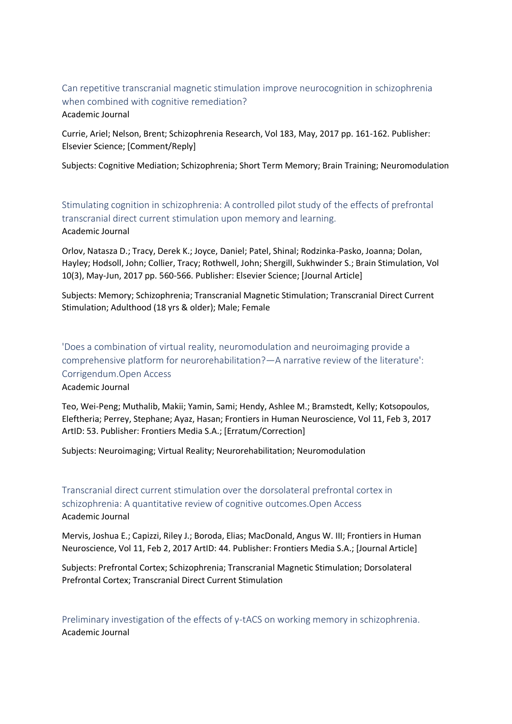<span id="page-7-0"></span>Can repetitive transcranial magnetic stimulation improve neurocognition in schizophrenia when combined with cognitive remediation? Academic Journal

Currie, Ariel; Nelson, Brent; Schizophrenia Research, Vol 183, May, 2017 pp. 161-162. Publisher: Elsevier Science; [Comment/Reply]

Subjects: Cognitive Mediation; Schizophrenia; Short Term Memory; Brain Training; Neuromodulation

<span id="page-7-1"></span>Stimulating cognition in schizophrenia: A controlled pilot study of the effects of prefrontal transcranial direct current stimulation upon memory and learning. Academic Journal

Orlov, Natasza D.; Tracy, Derek K.; Joyce, Daniel; Patel, Shinal; Rodzinka-Pasko, Joanna; Dolan, Hayley; Hodsoll, John; Collier, Tracy; Rothwell, John; Shergill, Sukhwinder S.; Brain Stimulation, Vol 10(3), May-Jun, 2017 pp. 560-566. Publisher: Elsevier Science; [Journal Article]

Subjects: Memory; Schizophrenia; Transcranial Magnetic Stimulation; Transcranial Direct Current Stimulation; Adulthood (18 yrs & older); Male; Female

<span id="page-7-2"></span>'Does a combination of virtual reality, neuromodulation and neuroimaging provide a comprehensive platform for neurorehabilitation?—A narrative review of the literature': Corrigendum.Open Access

Academic Journal

Teo, Wei-Peng; Muthalib, Makii; Yamin, Sami; Hendy, Ashlee M.; Bramstedt, Kelly; Kotsopoulos, Eleftheria; Perrey, Stephane; Ayaz, Hasan; Frontiers in Human Neuroscience, Vol 11, Feb 3, 2017 ArtID: 53. Publisher: Frontiers Media S.A.; [Erratum/Correction]

Subjects: Neuroimaging; Virtual Reality; Neurorehabilitation; Neuromodulation

<span id="page-7-3"></span>Transcranial direct current stimulation over the dorsolateral prefrontal cortex in schizophrenia: A quantitative review of cognitive outcomes.Open Access Academic Journal

Mervis, Joshua E.; Capizzi, Riley J.; Boroda, Elias; MacDonald, Angus W. III; Frontiers in Human Neuroscience, Vol 11, Feb 2, 2017 ArtID: 44. Publisher: Frontiers Media S.A.; [Journal Article]

Subjects: Prefrontal Cortex; Schizophrenia; Transcranial Magnetic Stimulation; Dorsolateral Prefrontal Cortex; Transcranial Direct Current Stimulation

<span id="page-7-4"></span>Preliminary investigation of the effects of γ-tACS on working memory in schizophrenia. Academic Journal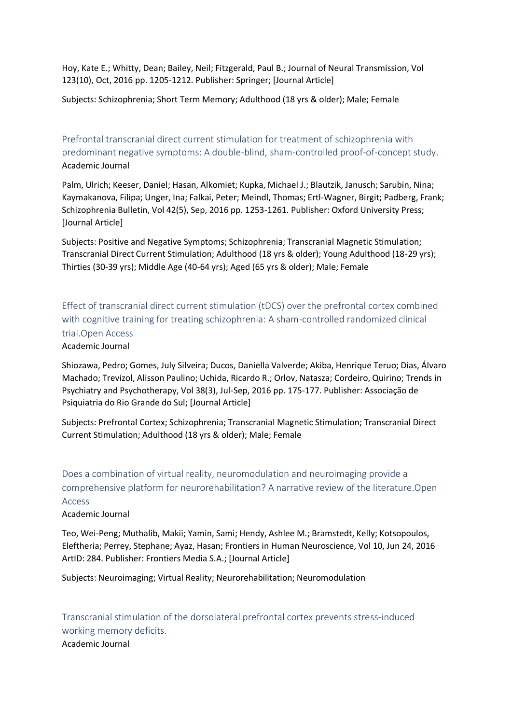Hoy, Kate E.; Whitty, Dean; Bailey, Neil; Fitzgerald, Paul B.; Journal of Neural Transmission, Vol 123(10), Oct, 2016 pp. 1205-1212. Publisher: Springer; [Journal Article]

Subjects: Schizophrenia; Short Term Memory; Adulthood (18 yrs & older); Male; Female

<span id="page-8-0"></span>Prefrontal transcranial direct current stimulation for treatment of schizophrenia with predominant negative symptoms: A double-blind, sham-controlled proof-of-concept study. Academic Journal

Palm, Ulrich; Keeser, Daniel; Hasan, Alkomiet; Kupka, Michael J.; Blautzik, Janusch; Sarubin, Nina; Kaymakanova, Filipa; Unger, Ina; Falkai, Peter; Meindl, Thomas; Ertl-Wagner, Birgit; Padberg, Frank; Schizophrenia Bulletin, Vol 42(5), Sep, 2016 pp. 1253-1261. Publisher: Oxford University Press; [Journal Article]

Subjects: Positive and Negative Symptoms; Schizophrenia; Transcranial Magnetic Stimulation; Transcranial Direct Current Stimulation; Adulthood (18 yrs & older); Young Adulthood (18-29 yrs); Thirties (30-39 yrs); Middle Age (40-64 yrs); Aged (65 yrs & older); Male; Female

<span id="page-8-1"></span>Effect of transcranial direct current stimulation (tDCS) over the prefrontal cortex combined with cognitive training for treating schizophrenia: A sham-controlled randomized clinical trial.Open Access

#### Academic Journal

Shiozawa, Pedro; Gomes, July Silveira; Ducos, Daniella Valverde; Akiba, Henrique Teruo; Dias, Álvaro Machado; Trevizol, Alisson Paulino; Uchida, Ricardo R.; Orlov, Natasza; Cordeiro, Quirino; Trends in Psychiatry and Psychotherapy, Vol 38(3), Jul-Sep, 2016 pp. 175-177. Publisher: Associação de Psiquiatria do Rio Grande do Sul; [Journal Article]

Subjects: Prefrontal Cortex; Schizophrenia; Transcranial Magnetic Stimulation; Transcranial Direct Current Stimulation; Adulthood (18 yrs & older); Male; Female

<span id="page-8-2"></span>Does a combination of virtual reality, neuromodulation and neuroimaging provide a comprehensive platform for neurorehabilitation? A narrative review of the literature.Open Access

Academic Journal

Teo, Wei-Peng; Muthalib, Makii; Yamin, Sami; Hendy, Ashlee M.; Bramstedt, Kelly; Kotsopoulos, Eleftheria; Perrey, Stephane; Ayaz, Hasan; Frontiers in Human Neuroscience, Vol 10, Jun 24, 2016 ArtID: 284. Publisher: Frontiers Media S.A.; [Journal Article]

Subjects: Neuroimaging; Virtual Reality; Neurorehabilitation; Neuromodulation

<span id="page-8-3"></span>Transcranial stimulation of the dorsolateral prefrontal cortex prevents stress-induced working memory deficits. Academic Journal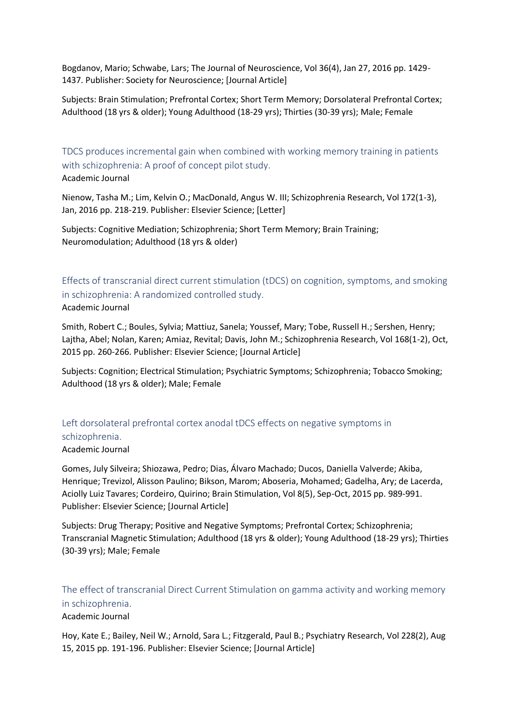Bogdanov, Mario; Schwabe, Lars; The Journal of Neuroscience, Vol 36(4), Jan 27, 2016 pp. 1429- 1437. Publisher: Society for Neuroscience; [Journal Article]

Subjects: Brain Stimulation; Prefrontal Cortex; Short Term Memory; Dorsolateral Prefrontal Cortex; Adulthood (18 yrs & older); Young Adulthood (18-29 yrs); Thirties (30-39 yrs); Male; Female

<span id="page-9-0"></span>TDCS produces incremental gain when combined with working memory training in patients with schizophrenia: A proof of concept pilot study. Academic Journal

Nienow, Tasha M.; Lim, Kelvin O.; MacDonald, Angus W. III; Schizophrenia Research, Vol 172(1-3), Jan, 2016 pp. 218-219. Publisher: Elsevier Science; [Letter]

Subjects: Cognitive Mediation; Schizophrenia; Short Term Memory; Brain Training; Neuromodulation; Adulthood (18 yrs & older)

<span id="page-9-1"></span>Effects of transcranial direct current stimulation (tDCS) on cognition, symptoms, and smoking in schizophrenia: A randomized controlled study.

Academic Journal

Smith, Robert C.; Boules, Sylvia; Mattiuz, Sanela; Youssef, Mary; Tobe, Russell H.; Sershen, Henry; Lajtha, Abel; Nolan, Karen; Amiaz, Revital; Davis, John M.; Schizophrenia Research, Vol 168(1-2), Oct, 2015 pp. 260-266. Publisher: Elsevier Science; [Journal Article]

Subjects: Cognition; Electrical Stimulation; Psychiatric Symptoms; Schizophrenia; Tobacco Smoking; Adulthood (18 yrs & older); Male; Female

<span id="page-9-2"></span>Left dorsolateral prefrontal cortex anodal tDCS effects on negative symptoms in schizophrenia.

#### Academic Journal

Gomes, July Silveira; Shiozawa, Pedro; Dias, Álvaro Machado; Ducos, Daniella Valverde; Akiba, Henrique; Trevizol, Alisson Paulino; Bikson, Marom; Aboseria, Mohamed; Gadelha, Ary; de Lacerda, Aciolly Luiz Tavares; Cordeiro, Quirino; Brain Stimulation, Vol 8(5), Sep-Oct, 2015 pp. 989-991. Publisher: Elsevier Science; [Journal Article]

Subjects: Drug Therapy; Positive and Negative Symptoms; Prefrontal Cortex; Schizophrenia; Transcranial Magnetic Stimulation; Adulthood (18 yrs & older); Young Adulthood (18-29 yrs); Thirties (30-39 yrs); Male; Female

## <span id="page-9-3"></span>The effect of transcranial Direct Current Stimulation on gamma activity and working memory in schizophrenia.

#### Academic Journal

Hoy, Kate E.; Bailey, Neil W.; Arnold, Sara L.; Fitzgerald, Paul B.; Psychiatry Research, Vol 228(2), Aug 15, 2015 pp. 191-196. Publisher: Elsevier Science; [Journal Article]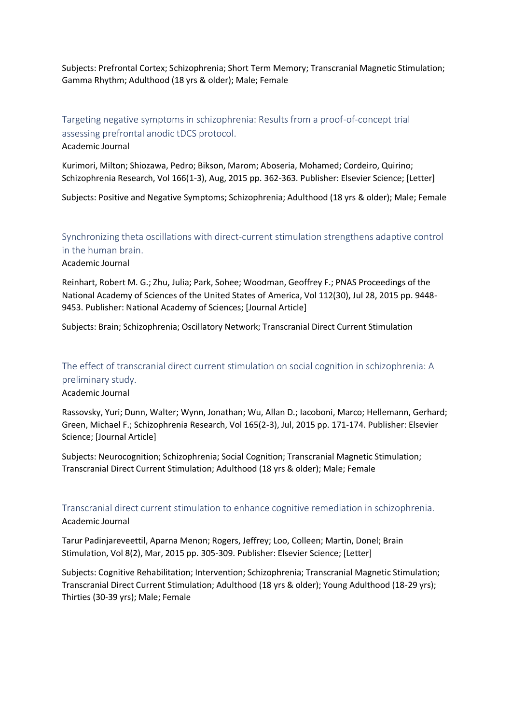Subjects: Prefrontal Cortex; Schizophrenia; Short Term Memory; Transcranial Magnetic Stimulation; Gamma Rhythm; Adulthood (18 yrs & older); Male; Female

# <span id="page-10-0"></span>Targeting negative symptoms in schizophrenia: Results from a proof-of-concept trial assessing prefrontal anodic tDCS protocol.

Academic Journal

Kurimori, Milton; Shiozawa, Pedro; Bikson, Marom; Aboseria, Mohamed; Cordeiro, Quirino; Schizophrenia Research, Vol 166(1-3), Aug, 2015 pp. 362-363. Publisher: Elsevier Science; [Letter]

Subjects: Positive and Negative Symptoms; Schizophrenia; Adulthood (18 yrs & older); Male; Female

## <span id="page-10-1"></span>Synchronizing theta oscillations with direct-current stimulation strengthens adaptive control in the human brain.

Academic Journal

Reinhart, Robert M. G.; Zhu, Julia; Park, Sohee; Woodman, Geoffrey F.; PNAS Proceedings of the National Academy of Sciences of the United States of America, Vol 112(30), Jul 28, 2015 pp. 9448- 9453. Publisher: National Academy of Sciences; [Journal Article]

Subjects: Brain; Schizophrenia; Oscillatory Network; Transcranial Direct Current Stimulation

# <span id="page-10-2"></span>The effect of transcranial direct current stimulation on social cognition in schizophrenia: A preliminary study.

#### Academic Journal

Rassovsky, Yuri; Dunn, Walter; Wynn, Jonathan; Wu, Allan D.; Iacoboni, Marco; Hellemann, Gerhard; Green, Michael F.; Schizophrenia Research, Vol 165(2-3), Jul, 2015 pp. 171-174. Publisher: Elsevier Science; [Journal Article]

Subjects: Neurocognition; Schizophrenia; Social Cognition; Transcranial Magnetic Stimulation; Transcranial Direct Current Stimulation; Adulthood (18 yrs & older); Male; Female

## <span id="page-10-3"></span>Transcranial direct current stimulation to enhance cognitive remediation in schizophrenia. Academic Journal

Tarur Padinjareveettil, Aparna Menon; Rogers, Jeffrey; Loo, Colleen; Martin, Donel; Brain Stimulation, Vol 8(2), Mar, 2015 pp. 305-309. Publisher: Elsevier Science; [Letter]

Subjects: Cognitive Rehabilitation; Intervention; Schizophrenia; Transcranial Magnetic Stimulation; Transcranial Direct Current Stimulation; Adulthood (18 yrs & older); Young Adulthood (18-29 yrs); Thirties (30-39 yrs); Male; Female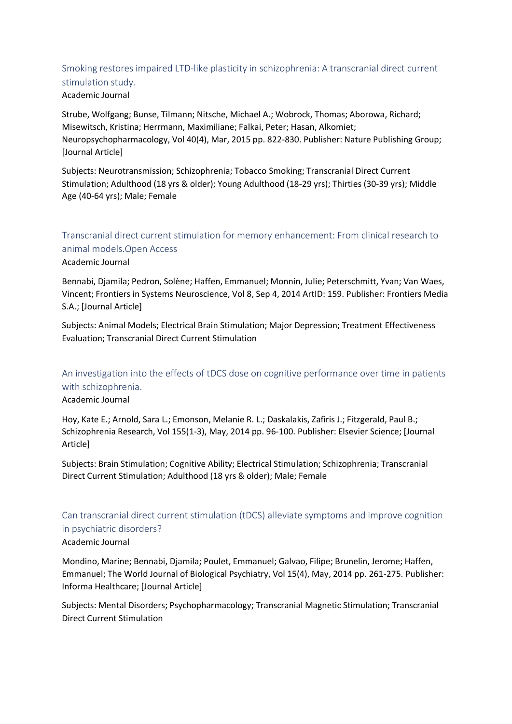# <span id="page-11-0"></span>Smoking restores impaired LTD-like plasticity in schizophrenia: A transcranial direct current stimulation study.

### Academic Journal

Strube, Wolfgang; Bunse, Tilmann; Nitsche, Michael A.; Wobrock, Thomas; Aborowa, Richard; Misewitsch, Kristina; Herrmann, Maximiliane; Falkai, Peter; Hasan, Alkomiet; Neuropsychopharmacology, Vol 40(4), Mar, 2015 pp. 822-830. Publisher: Nature Publishing Group; [Journal Article]

Subjects: Neurotransmission; Schizophrenia; Tobacco Smoking; Transcranial Direct Current Stimulation; Adulthood (18 yrs & older); Young Adulthood (18-29 yrs); Thirties (30-39 yrs); Middle Age (40-64 yrs); Male; Female

# <span id="page-11-1"></span>Transcranial direct current stimulation for memory enhancement: From clinical research to animal models.Open Access

### Academic Journal

Bennabi, Djamila; Pedron, Solène; Haffen, Emmanuel; Monnin, Julie; Peterschmitt, Yvan; Van Waes, Vincent; Frontiers in Systems Neuroscience, Vol 8, Sep 4, 2014 ArtID: 159. Publisher: Frontiers Media S.A.; [Journal Article]

Subjects: Animal Models; Electrical Brain Stimulation; Major Depression; Treatment Effectiveness Evaluation; Transcranial Direct Current Stimulation

## <span id="page-11-2"></span>An investigation into the effects of tDCS dose on cognitive performance over time in patients with schizophrenia.

Academic Journal

Hoy, Kate E.; Arnold, Sara L.; Emonson, Melanie R. L.; Daskalakis, Zafiris J.; Fitzgerald, Paul B.; Schizophrenia Research, Vol 155(1-3), May, 2014 pp. 96-100. Publisher: Elsevier Science; [Journal Article]

Subjects: Brain Stimulation; Cognitive Ability; Electrical Stimulation; Schizophrenia; Transcranial Direct Current Stimulation; Adulthood (18 yrs & older); Male; Female

## <span id="page-11-3"></span>Can transcranial direct current stimulation (tDCS) alleviate symptoms and improve cognition in psychiatric disorders? Academic Journal

Mondino, Marine; Bennabi, Djamila; Poulet, Emmanuel; Galvao, Filipe; Brunelin, Jerome; Haffen, Emmanuel; The World Journal of Biological Psychiatry, Vol 15(4), May, 2014 pp. 261-275. Publisher: Informa Healthcare; [Journal Article]

Subjects: Mental Disorders; Psychopharmacology; Transcranial Magnetic Stimulation; Transcranial Direct Current Stimulation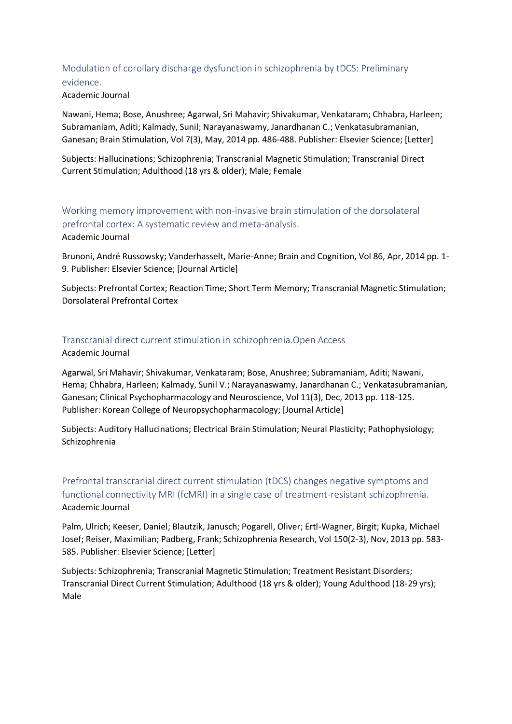# <span id="page-12-0"></span>Modulation of corollary discharge dysfunction in schizophrenia by tDCS: Preliminary evidence.

#### Academic Journal

Nawani, Hema; Bose, Anushree; Agarwal, Sri Mahavir; Shivakumar, Venkataram; Chhabra, Harleen; Subramaniam, Aditi; Kalmady, Sunil; Narayanaswamy, Janardhanan C.; Venkatasubramanian, Ganesan; Brain Stimulation, Vol 7(3), May, 2014 pp. 486-488. Publisher: Elsevier Science; [Letter]

Subjects: Hallucinations; Schizophrenia; Transcranial Magnetic Stimulation; Transcranial Direct Current Stimulation; Adulthood (18 yrs & older); Male; Female

<span id="page-12-1"></span>Working memory improvement with non-invasive brain stimulation of the dorsolateral prefrontal cortex: A systematic review and meta-analysis. Academic Journal

Brunoni, André Russowsky; Vanderhasselt, Marie-Anne; Brain and Cognition, Vol 86, Apr, 2014 pp. 1- 9. Publisher: Elsevier Science; [Journal Article]

Subjects: Prefrontal Cortex; Reaction Time; Short Term Memory; Transcranial Magnetic Stimulation; Dorsolateral Prefrontal Cortex

### <span id="page-12-2"></span>Transcranial direct current stimulation in schizophrenia.Open Access

Academic Journal

Agarwal, Sri Mahavir; Shivakumar, Venkataram; Bose, Anushree; Subramaniam, Aditi; Nawani, Hema; Chhabra, Harleen; Kalmady, Sunil V.; Narayanaswamy, Janardhanan C.; Venkatasubramanian, Ganesan; Clinical Psychopharmacology and Neuroscience, Vol 11(3), Dec, 2013 pp. 118-125. Publisher: Korean College of Neuropsychopharmacology; [Journal Article]

Subjects: Auditory Hallucinations; Electrical Brain Stimulation; Neural Plasticity; Pathophysiology; Schizophrenia

## <span id="page-12-3"></span>Prefrontal transcranial direct current stimulation (tDCS) changes negative symptoms and functional connectivity MRI (fcMRI) in a single case of treatment-resistant schizophrenia. Academic Journal

Palm, Ulrich; Keeser, Daniel; Blautzik, Janusch; Pogarell, Oliver; Ertl-Wagner, Birgit; Kupka, Michael Josef; Reiser, Maximilian; Padberg, Frank; Schizophrenia Research, Vol 150(2-3), Nov, 2013 pp. 583- 585. Publisher: Elsevier Science; [Letter]

Subjects: Schizophrenia; Transcranial Magnetic Stimulation; Treatment Resistant Disorders; Transcranial Direct Current Stimulation; Adulthood (18 yrs & older); Young Adulthood (18-29 yrs); Male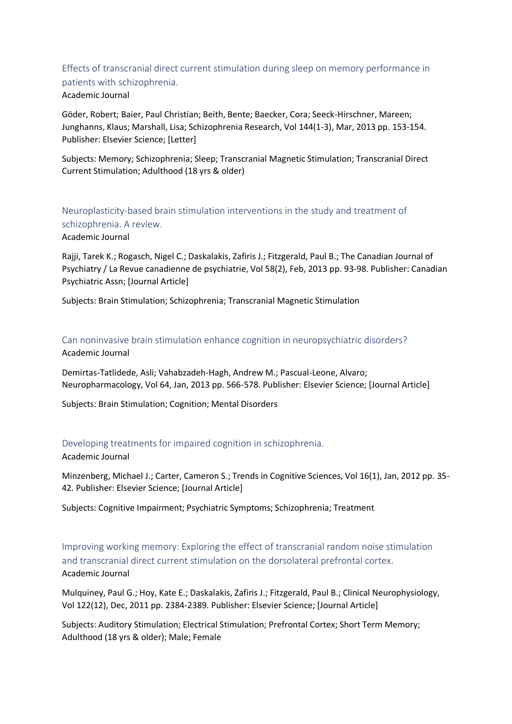## <span id="page-13-0"></span>Effects of transcranial direct current stimulation during sleep on memory performance in patients with schizophrenia. Academic Journal

Göder, Robert; Baier, Paul Christian; Beith, Bente; Baecker, Cora; Seeck-Hirschner, Mareen; Junghanns, Klaus; Marshall, Lisa; Schizophrenia Research, Vol 144(1-3), Mar, 2013 pp. 153-154. Publisher: Elsevier Science; [Letter]

Subjects: Memory; Schizophrenia; Sleep; Transcranial Magnetic Stimulation; Transcranial Direct Current Stimulation; Adulthood (18 yrs & older)

<span id="page-13-1"></span>Neuroplasticity-based brain stimulation interventions in the study and treatment of schizophrenia. A review. Academic Journal

Rajji, Tarek K.; Rogasch, Nigel C.; Daskalakis, Zafiris J.; Fitzgerald, Paul B.; The Canadian Journal of Psychiatry / La Revue canadienne de psychiatrie, Vol 58(2), Feb, 2013 pp. 93-98. Publisher: Canadian Psychiatric Assn; [Journal Article]

Subjects: Brain Stimulation; Schizophrenia; Transcranial Magnetic Stimulation

<span id="page-13-2"></span>Can noninvasive brain stimulation enhance cognition in neuropsychiatric disorders? Academic Journal

Demirtas-Tatlidede, Asli; Vahabzadeh-Hagh, Andrew M.; Pascual-Leone, Alvaro; Neuropharmacology, Vol 64, Jan, 2013 pp. 566-578. Publisher: Elsevier Science; [Journal Article]

Subjects: Brain Stimulation; Cognition; Mental Disorders

#### <span id="page-13-3"></span>Developing treatments for impaired cognition in schizophrenia.

Academic Journal

Minzenberg, Michael J.; Carter, Cameron S.; Trends in Cognitive Sciences, Vol 16(1), Jan, 2012 pp. 35- 42. Publisher: Elsevier Science; [Journal Article]

Subjects: Cognitive Impairment; Psychiatric Symptoms; Schizophrenia; Treatment

<span id="page-13-4"></span>Improving working memory: Exploring the effect of transcranial random noise stimulation and transcranial direct current stimulation on the dorsolateral prefrontal cortex. Academic Journal

Mulquiney, Paul G.; Hoy, Kate E.; Daskalakis, Zafiris J.; Fitzgerald, Paul B.; Clinical Neurophysiology, Vol 122(12), Dec, 2011 pp. 2384-2389. Publisher: Elsevier Science; [Journal Article]

Subjects: Auditory Stimulation; Electrical Stimulation; Prefrontal Cortex; Short Term Memory; Adulthood (18 yrs & older); Male; Female